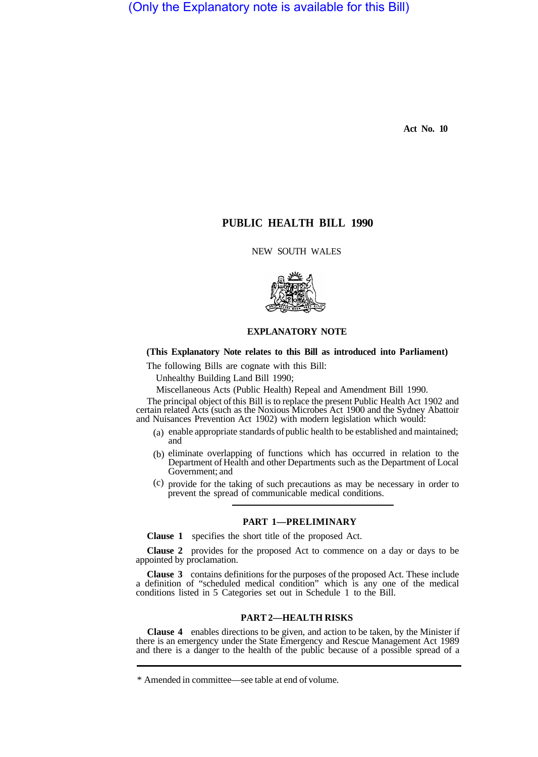(Only the Explanatory note is available for this Bill)

**Act No. 10** 

# **PUBLIC HEALTH BILL 1990**

NEW SOUTH WALES



## **EXPLANATORY NOTE**

## **(This Explanatory Note relates to this Bill as introduced into Parliament)**

The following Bills are cognate with this Bill:

Unhealthy Building Land Bill 1990;

Miscellaneous Acts (Public Health) Repeal and Amendment Bill 1990.

The principal object of this Bill is to replace the present Public Health Act 1902 and certain related Acts (such as the Noxious Microbes Act 1900 and the Sydney Abattoir and Nuisances Prevention Act 1902) with modern legislation which would:

- (a) enable appropriate standards of public health to be established and maintained; and
- (b) eliminate overlapping of functions which has occurred in relation to the Department of Health and other Departments such as the Department of Local Government; and
- provide for the taking of such precautions as may be necessary in order to (c) prevent the spread of communicable medical conditions.

## **PART 1—PRELIMINARY**

**Clause 1** specifies the short title of the proposed Act.

**Clause 2** provides for the proposed Act to commence on a day or days to be appointed by proclamation.

**Clause 3** contains definitions for the purposes of the proposed Act. These include a definition of "scheduled medical condition" which is any one of the medical conditions listed in 5 Categories set out in Schedule 1 to the Bill.

## **PART 2—HEALTH RISKS**

**Clause 4** enables directions to be given, and action to be taken, by the Minister if there is an emergency under the State Emergency and Rescue Management Act 1989 and there is a danger to the health of the public because of a possible spread of a

<sup>\*</sup> Amended in committee—see table at end of volume.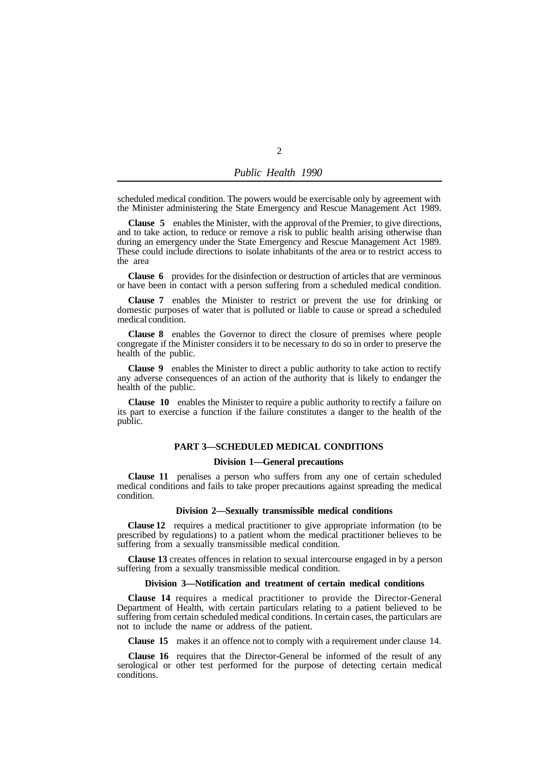| Public Health 1990 |  |
|--------------------|--|
|                    |  |

 $\overline{2}$ 

scheduled medical condition. The powers would be exercisable only by agreement with the Minister administering the State Emergency and Rescue Management Act 1989.

**Clause 5** enables the Minister, with the approval of the Premier, to give directions, and to take action, to reduce or remove a risk to public health arising otherwise than during an emergency under the State Emergency and Rescue Management Act 1989. These could include directions to isolate inhabitants of the area or to restrict access to the area

**Clause 6** provides for the disinfection or destruction of articles that are verminous or have been in contact with a person suffering from a scheduled medical condition.

**Clause 7** enables the Minister to restrict or prevent the use for drinking or domestic purposes of water that is polluted or liable to cause or spread a scheduled medical condition.

**Clause 8** enables the Governor to direct the closure of premises where people congregate if the Minister considers it to be necessary to do so in order to preserve the health of the public.

**Clause 9** enables the Minister to direct a public authority to take action to rectify any adverse consequences of an action of the authority that is likely to endanger the health of the public.

**Clause 10** enables the Minister to require a public authority to rectify a failure on its part to exercise a function if the failure constitutes a danger to the health of the public.

## **PART 3—SCHEDULED MEDICAL CONDITIONS**

## **Division 1—General precautions**

**Clause 11** penalises a person who suffers from any one of certain scheduled medical conditions and fails to take proper precautions against spreading the medical condition.

### **Division 2—Sexually transmissible medical conditions**

**Clause 12** requires a medical practitioner to give appropriate information (to be prescribed by regulations) to a patient whom the medical practitioner believes to be suffering from a sexually transmissible medical condition.

**Clause 13** creates offences in relation to sexual intercourse engaged in by a person suffering from a sexually transmissible medical condition.

## **Division 3—Notification and treatment of certain medical conditions**

**Clause 14** requires a medical practitioner to provide the Director-General Department of Health, with certain particulars relating to a patient believed to be suffering from certain scheduled medical conditions. In certain cases, the particulars are not to include the name or address of the patient.

**Clause 15** makes it an offence not to comply with a requirement under clause 14.

**Clause 16** requires that the Director-General be informed of the result of any serological or other test performed for the purpose of detecting certain medical conditions.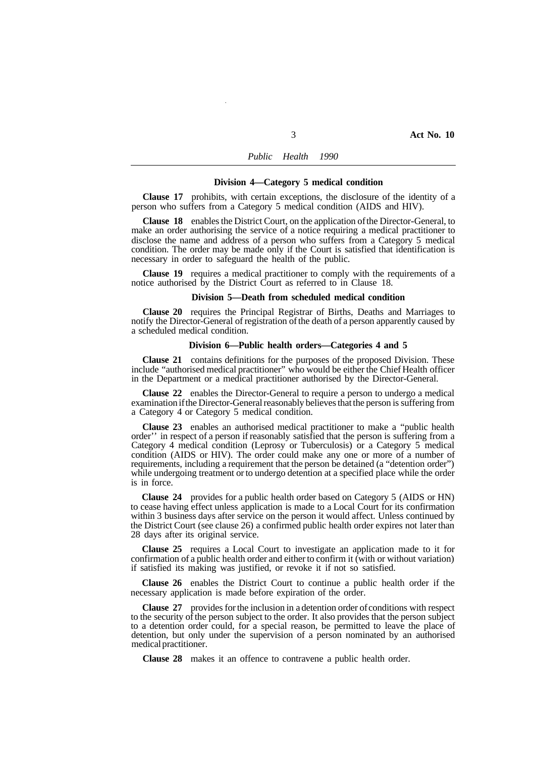#### *Public Health 1990*

## **Division 4—Category 5 medical condition**

**Clause 17** prohibits, with certain exceptions, the disclosure of the identity of a person who suffers from a Category 5 medical condition (AIDS and HIV).

**Clause 18** enables the District Court, on the application of the Director-General, to make an order authorising the service of a notice requiring a medical practitioner to disclose the name and address of a person who suffers from a Category 5 medical condition. The order may be made only if the Court is satisfied that identification is necessary in order to safeguard the health of the public.

**Clause 19** requires a medical practitioner to comply with the requirements of a notice authorised by the District Court as referred to in Clause 18.

#### **Division 5—Death from scheduled medical condition**

**Clause 20** requires the Principal Registrar of Births, Deaths and Marriages to notify the Director-General of registration of the death of a person apparently caused by a scheduled medical condition.

#### **Division 6—Public health orders—Categories 4 and 5**

**Clause 21** contains definitions for the purposes of the proposed Division. These include "authorised medical practitioner" who would be either the Chief Health officer in the Department or a medical practitioner authorised by the Director-General.

**Clause 22** enables the Director-General to require a person to undergo a medical examination if the Director-General reasonably believes that the person is suffering from a Category 4 or Category 5 medical condition.

**Clause 23** enables an authorised medical practitioner to make a "public health order'' in respect of a person if reasonably satisfied that the person is suffering from a Category 4 medical condition (Leprosy or Tuberculosis) or a Category 5 medical condition (AIDS or HIV). The order could make any one or more of a number of requirements, including a requirement that the person be detained (a "detention order") while undergoing treatment or to undergo detention at a specified place while the order is in force.

**Clause 24** provides for a public health order based on Category 5 (AIDS or HN) to cease having effect unless application is made to a Local Court for its confirmation within 3 business days after service on the person it would affect. Unless continued by the District Court (see clause 26) a confirmed public health order expires not later than 28 days after its original service.

**Clause 25** requires a Local Court to investigate an application made to it for confirmation of a public health order and either to confirm it (with or without variation) if satisfied its making was justified, or revoke it if not so satisfied.

**Clause 26** enables the District Court to continue a public health order if the necessary application is made before expiration of the order.

**Clause 27** provides for the inclusion in a detention order of conditions with respect to the security of the person subject to the order. It also provides that the person subject to a detention order could, for a special reason, be permitted to leave the place of detention, but only under the supervision of a person nominated by an authorised medical practitioner.

**Clause 28** makes it an offence to contravene a public health order.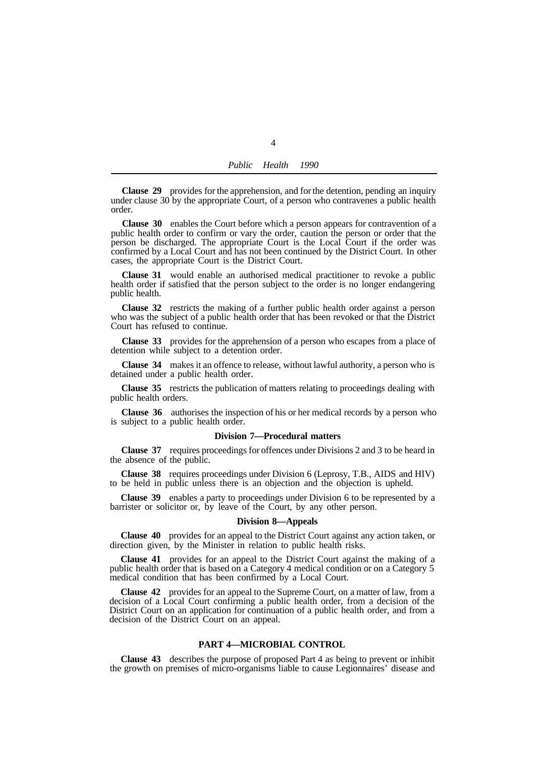| Public | Health | 1990 |
|--------|--------|------|
|        |        |      |

**Clause 29** provides for the apprehension, and for the detention, pending an inquiry under clause 30 by the appropriate Court, of a person who contravenes a public health order.

**Clause 30** enables the Court before which a person appears for contravention of a public health order to confirm or vary the order, caution the person or order that the person be discharged. The appropriate Court is the Local Court if the order was confirmed by a Local Court and has not been continued by the District Court. In other cases, the appropriate Court is the District Court.

**Clause 31** would enable an authorised medical practitioner to revoke a public health order if satisfied that the person subject to the order is no longer endangering public health.

**Clause 32** restricts the making of a further public health order against a person who was the subject of a public health order that has been revoked or that the District Court has refused to continue.

**Clause 33** provides for the apprehension of a person who escapes from a place of detention while subject to a detention order.

**Clause 34** makes it an offence to release, without lawful authority, a person who is detained under a public health order.

**Clause 35** restricts the publication of matters relating to proceedings dealing with public health orders.

**Clause 36** authorises the inspection of his or her medical records by a person who is subject to a public health order.

## **Division 7—Procedural matters**

**Clause 37** requires proceedings for offences under Divisions 2 and 3 to be heard in the absence of the public.

**Clause 38** requires proceedings under Division 6 (Leprosy, T.B., AIDS and HIV) to be held in public unless there is an objection and the objection is upheld.

**Clause 39** enables a party to proceedings under Division 6 to be represented by a barrister or solicitor or, by leave of the Court, by any other person.

#### **Division 8—Appeals**

**Clause 40** provides for an appeal to the District Court against any action taken, or direction given, by the Minister in relation to public health risks.

**Clause 41** provides for an appeal to the District Court against the making of a public health order that is based on a Category 4 medical condition or on a Category 5 medical condition that has been confirmed by a Local Court.

**Clause 42** provides for an appeal to the Supreme Court, on a matter of law, from a decision of a Local Court confirming a public health order, from a decision of the District Court on an application for continuation of a public health order, and from a decision of the District Court on an appeal.

## **PART 4—MICROBIAL CONTROL**

**Clause 43** describes the purpose of proposed Part 4 as being to prevent or inhibit the growth on premises of micro-organisms liable to cause Legionnaires' disease and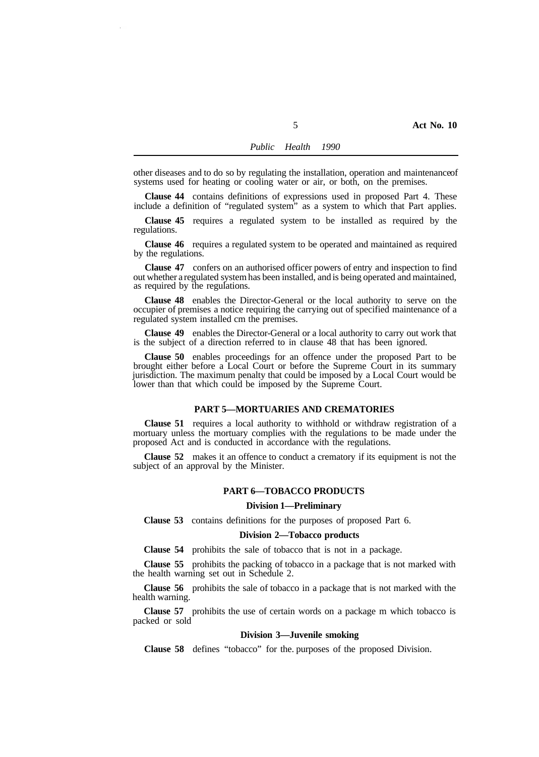other diseases and to do so by regulating the installation, operation and maintenance of systems used for heating or cooling water or air, or both, on the premises.

**Clause 44** contains definitions of expressions used in proposed Part 4. These include a definition of "regulated system" as a system to which that Part applies.

**Clause 45** requires a regulated system to be installed as required by the regulations.

**Clause 46** requires a regulated system to be operated and maintained as required by the regulations.

**Clause 47** confers on an authorised officer powers of entry and inspection to find out whether a regulated system has been installed, and is being operated and maintained, as required by the regulations.

**Clause 48** enables the Director-General or the local authority to serve on the occupier of premises a notice requiring the carrying out of specified maintenance of a regulated system installed cm the premises.

**Clause 49** enables the Director-General or a local authority to carry out work that is the subject of a direction referred to in clause 48 that has been ignored.

**Clause 50** enables proceedings for an offence under the proposed Part to be brought either before a Local Court or before the Supreme Court in its summary jurisdiction. The maximum penalty that could be imposed by a Local Court would be lower than that which could be imposed by the Supreme Court.

## **PART 5—MORTUARIES AND CREMATORIES**

**Clause 51** requires a local authority to withhold or withdraw registration of a mortuary unless the mortuary complies with the regulations to be made under the proposed Act and is conducted in accordance with the regulations.

**Clause 52** makes it an offence to conduct a crematory if its equipment is not the subject of an approval by the Minister.

## **PART 6—TOBACCO PRODUCTS**

#### **Division 1—Preliminary**

**Clause 53** contains definitions for the purposes of proposed Part 6.

### **Division 2—Tobacco products**

**Clause 54** prohibits the sale of tobacco that is not in a package.

**Clause 55** prohibits the packing of tobacco in a package that is not marked with the health warning set out in Schedule 2.

**Clause 56** prohibits the sale of tobacco in a package that is not marked with the health warning.

**Clause 57** prohibits the use of certain words on a package m which tobacco is packed or sold

## **Division 3—Juvenile smoking**

**Clause 58** defines "tobacco" for the. purposes of the proposed Division.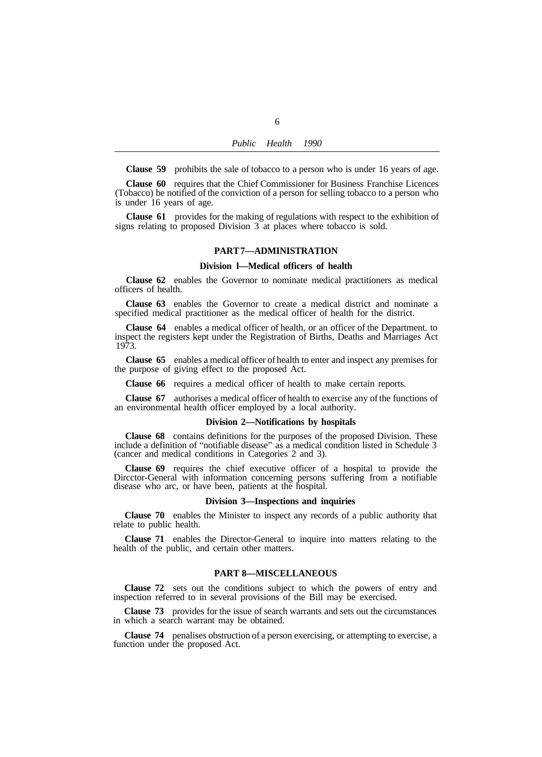**Clause 59** prohibits the sale of tobacco to a person who is under 16 years of age.

**Clause 60** requires that the Chief Commissioner for Business Franchise Licences (Tobacco) be notified of the conviction of a person for selling tobacco to a person who is under 16 years of age.

**Clause 61** provides for the making of regulations with respect to the exhibition of signs relating to proposed Division 3 at places where tobacco is sold.

#### **PART 7—ADMINISTRATION**

## **Division l—Medical officers of health**

**Clause 62** enables the Governor to nominate medical practitioners as medical officers of health.

**Clause 63** enables the Governor to create a medical district and nominate a specified medical practitioner as the medical officer of health for the district.

**Clause 64** enables a medical officer of health, or an officer of the Department. to inspect the registers kept under the Registration of Births, Deaths and Marriages Act 1973.

**Clause 65** enables a medical officer of health to enter and inspect any premises for the purpose of giving effect to the proposed Act.

**Clause 66** requires a medical officer of health to make certain reports.

**Clause 67** authorises a medical officer of health to exercise any of the functions of an environmental health officer employed by a local authority.

#### **Division 2—Notifications by hospitals**

**Clause 68** contains definitions for the purposes of the proposed Division. These include a definition of "notifiable disease" as a medical condition listed in Schedule 3 (cancer and medical conditions in Categories 2 and 3).

**Clause 69** requires the chief executive officer of a hospital to provide the Dircctor-General with information concerning persons suffering from a notifiable disease who arc, or have been, patients at the hospital.

## **Division 3—Inspections and inquiries**

**Clause 70** enables the Minister to inspect any records of a public authority that relate to public health.

**Clause 71** enables the Director-General to inquire into matters relating to the health of the public, and certain other matters.

## **PART 8—MISCELLANEOUS**

**Clause 72** sets out the conditions subject to which the powers of entry and inspection referred to in several provisions of the Bill may be exercised.

**Clause 73** provides for the issue of search warrants and sets out the circumstances in which a search warrant may be obtained.

**Clause 74** penalises obstruction of a person exercising, or attempting to exercise, a function under the proposed Act.